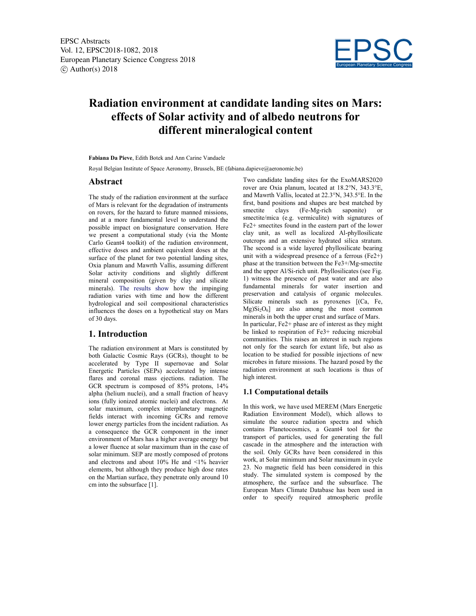

# Radiation environment at candidate landing sites on Mars: effects of Solar activity and of albedo neutrons for different mineralogical content

Fabiana Da Pieve, Edith Botek and Ann Carine Vandaele

Royal Belgian Institute of Space Aeronomy, Brussels, BE (fabiana.dapieve@aeronomie.be)

#### Abstract

The study of the radiation environment at the surface of Mars is relevant for the degradation of instruments on rovers, for the hazard to future manned missions, and at a more fundamental level to understand the possible impact on biosignature conservation. Here we present a computational study (via the Monte Carlo Geant4 toolkit) of the radiation environment, effective doses and ambient equivalent doses at the surface of the planet for two potential landing sites, Oxia planum and Mawrth Vallis, assuming different Solar activity conditions and slightly different mineral composition (given by clay and silicate minerals). The results show how the impinging radiation varies with time and how the different hydrological and soil compositional characteristics influences the doses on a hypothetical stay on Mars of 30 days.

## 1. Introduction

The radiation environment at Mars is constituted by both Galactic Cosmic Rays (GCRs), thought to be accelerated by Type II supernovae and Solar Energetic Particles (SEPs) accelerated by intense flares and coronal mass ejections. radiation. The GCR spectrum is composed of 85% protons, 14% alpha (helium nuclei), and a small fraction of heavy ions (fully ionized atomic nuclei) and electrons. At solar maximum, complex interplanetary magnetic fields interact with incoming GCRs and remove lower energy particles from the incident radiation. As a consequence the GCR component in the inner environment of Mars has a higher average energy but a lower fluence at solar maximum than in the case of solar minimum. SEP are mostly composed of protons and electrons and about 10% He and <1% heavier elements, but although they produce high dose rates on the Martian surface, they penetrate only around 10 cm into the subsurface [1].

Two candidate landing sites for the ExoMARS2020 rover are Oxia planum, located at 18.2°N, 343.3°E, and Mawrth Vallis, located at 22.3°N, 343.5°E. In the first, band positions and shapes are best matched by smectite clays (Fe-Mg-rich saponite) or smectite/mica (e.g. vermiculite) with signatures of Fe2+ smectites found in the eastern part of the lower clay unit, as well as localized Al-phyllosilicate outcrops and an extensive hydrated silica stratum. The second is a wide layered phyllosilicate bearing unit with a widespread presence of a ferrous  $(Fe2+)$ phase at the transition between the Fe3+/Mg-smectite and the upper Al/Si-rich unit. Phyllosilicates (see Fig. 1) witness the presence of past water and are also fundamental minerals for water insertion and preservation and catalysis of organic molecules. Silicate minerals such as pyroxenes [(Ca, Fe,  $Mg$  $Si<sub>2</sub>O<sub>6</sub>$  are also among the most common minerals in both the upper crust and surface of Mars. In particular, Fe2+ phase are of interest as they might be linked to respiration of Fe3+ reducing microbial communities. This raises an interest in such regions not only for the search for extant life, but also as location to be studied for possible injections of new microbes in future missions. The hazard posed by the radiation environment at such locations is thus of high interest.

#### 1.1 Computational details

In this work, we have used MEREM (Mars Energetic Radiation Environment Model), which allows to simulate the source radiation spectra and which contains Planetocosmics, a Geant4 tool for the transport of particles, used for generating the full cascade in the atmosphere and the interaction with the soil. Only GCRs have been considered in this work, at Solar minimum and Solar maximum in cycle 23. No magnetic field has been considered in this study. The simulated system is composed by the atmosphere, the surface and the subsurface. The European Mars Climate Database has been used in order to specify required atmospheric profile